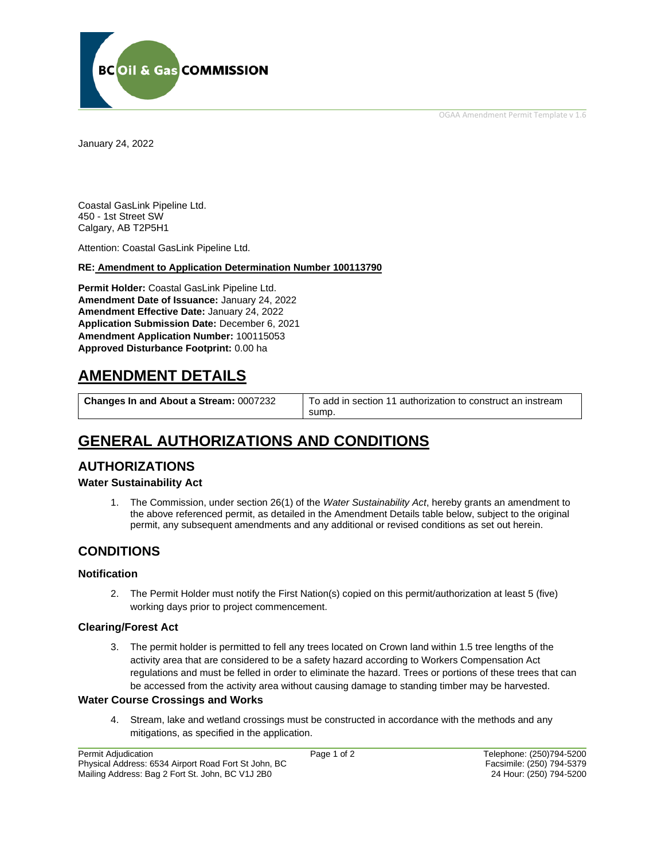OGAA Amendment Permit Template v 1.6



January 24, 2022

Coastal GasLink Pipeline Ltd. 450 - 1st Street SW Calgary, AB T2P5H1

Attention: Coastal GasLink Pipeline Ltd.

**RE: Amendment to Application Determination Number 100113790**

**Permit Holder:** Coastal GasLink Pipeline Ltd. **Amendment Date of Issuance:** January 24, 2022 **Amendment Effective Date:** January 24, 2022 **Application Submission Date:** December 6, 2021 **Amendment Application Number:** 100115053 **Approved Disturbance Footprint:** 0.00 ha

# **AMENDMENT DETAILS**

**Changes In and About a Stream:** 0007232 | To add in section 11 authorization to construct an instream sump.

# **GENERAL AUTHORIZATIONS AND CONDITIONS**

## **AUTHORIZATIONS**

### **Water Sustainability Act**

1. The Commission, under section 26(1) of the *Water Sustainability Act*, hereby grants an amendment to the above referenced permit, as detailed in the Amendment Details table below, subject to the original permit, any subsequent amendments and any additional or revised conditions as set out herein.

## **CONDITIONS**

### **Notification**

2. The Permit Holder must notify the First Nation(s) copied on this permit/authorization at least 5 (five) working days prior to project commencement.

### **Clearing/Forest Act**

3. The permit holder is permitted to fell any trees located on Crown land within 1.5 tree lengths of the activity area that are considered to be a safety hazard according to Workers Compensation Act regulations and must be felled in order to eliminate the hazard. Trees or portions of these trees that can be accessed from the activity area without causing damage to standing timber may be harvested.

### **Water Course Crossings and Works**

4. Stream, lake and wetland crossings must be constructed in accordance with the methods and any mitigations, as specified in the application.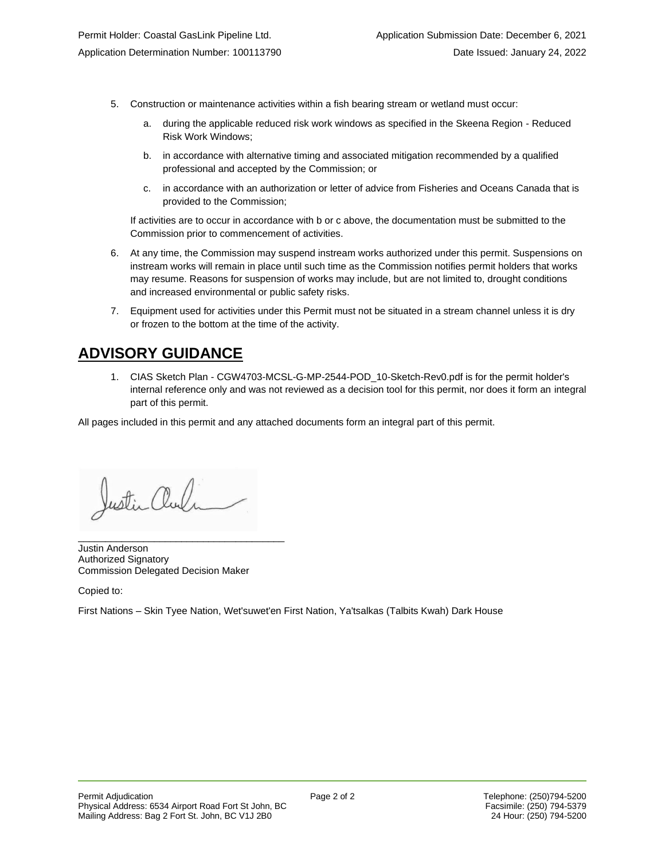- 5. Construction or maintenance activities within a fish bearing stream or wetland must occur:
	- a. during the applicable reduced risk work windows as specified in the Skeena Region Reduced Risk Work Windows;
	- b. in accordance with alternative timing and associated mitigation recommended by a qualified professional and accepted by the Commission; or
	- c. in accordance with an authorization or letter of advice from Fisheries and Oceans Canada that is provided to the Commission;

If activities are to occur in accordance with b or c above, the documentation must be submitted to the Commission prior to commencement of activities.

- 6. At any time, the Commission may suspend instream works authorized under this permit. Suspensions on instream works will remain in place until such time as the Commission notifies permit holders that works may resume. Reasons for suspension of works may include, but are not limited to, drought conditions and increased environmental or public safety risks.
- 7. Equipment used for activities under this Permit must not be situated in a stream channel unless it is dry or frozen to the bottom at the time of the activity.

# **ADVISORY GUIDANCE**

1. CIAS Sketch Plan - CGW4703-MCSL-G-MP-2544-POD\_10-Sketch-Rev0.pdf is for the permit holder's internal reference only and was not reviewed as a decision tool for this permit, nor does it form an integral part of this permit.

All pages included in this permit and any attached documents form an integral part of this permit.

Justin aul

\_\_\_\_\_\_\_\_\_\_\_\_\_\_\_\_\_\_\_\_\_\_\_\_\_\_\_\_\_\_\_\_\_\_\_\_\_\_

Justin Anderson Authorized Signatory Commission Delegated Decision Maker

Copied to:

First Nations – Skin Tyee Nation, Wet'suwet'en First Nation, Ya'tsalkas (Talbits Kwah) Dark House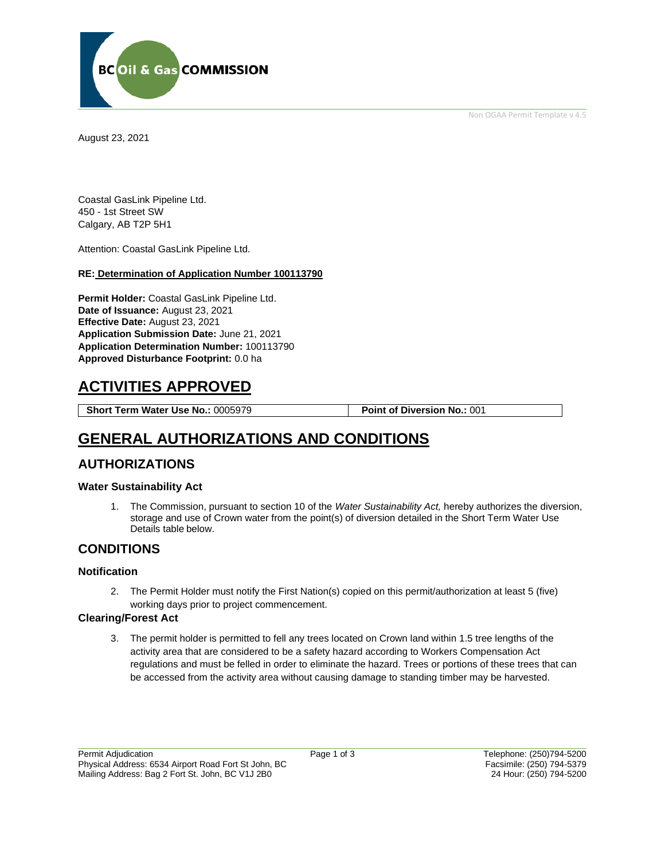

Non OGAA Permit Template v 4.5

August 23, 2021

Coastal GasLink Pipeline Ltd. 450 - 1st Street SW Calgary, AB T2P 5H1

Attention: Coastal GasLink Pipeline Ltd.

#### **RE: Determination of Application Number 100113790**

**Permit Holder:** Coastal GasLink Pipeline Ltd. **Date of Issuance:** August 23, 2021 **Effective Date:** August 23, 2021 **Application Submission Date:** June 21, 2021 **Application Determination Number:** 100113790 **Approved Disturbance Footprint:** 0.0 ha

# **ACTIVITIES APPROVED**

**Short Term Water Use No.:** 0005979 **Point of Diversion No.:** 001

## **GENERAL AUTHORIZATIONS AND CONDITIONS**

## **AUTHORIZATIONS**

### **Water Sustainability Act**

1. The Commission, pursuant to section 10 of the *Water Sustainability Act,* hereby authorizes the diversion, storage and use of Crown water from the point(s) of diversion detailed in the Short Term Water Use Details table below.

## **CONDITIONS**

### **Notification**

2. The Permit Holder must notify the First Nation(s) copied on this permit/authorization at least 5 (five) working days prior to project commencement.

### **Clearing/Forest Act**

3. The permit holder is permitted to fell any trees located on Crown land within 1.5 tree lengths of the activity area that are considered to be a safety hazard according to Workers Compensation Act regulations and must be felled in order to eliminate the hazard. Trees or portions of these trees that can be accessed from the activity area without causing damage to standing timber may be harvested.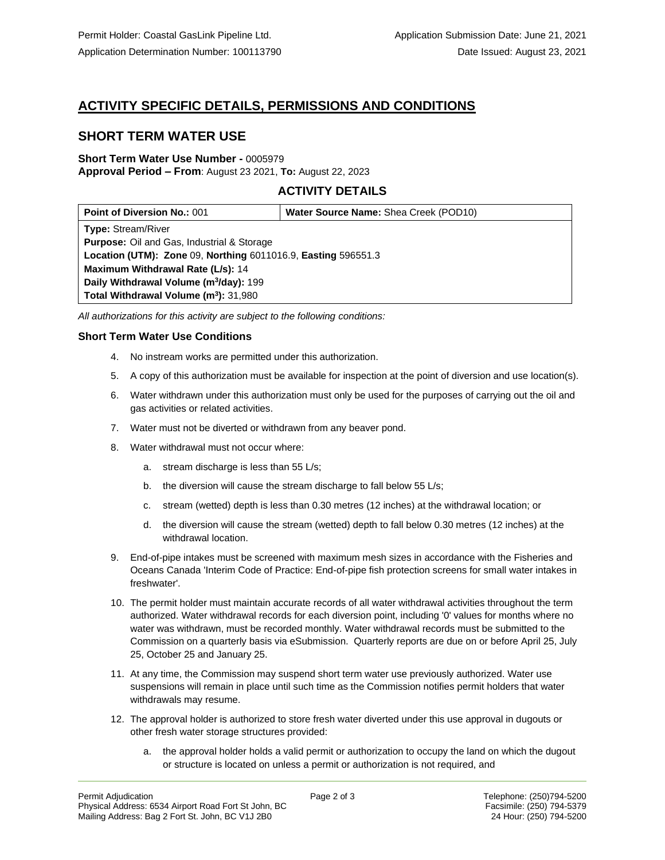## **ACTIVITY SPECIFIC DETAILS, PERMISSIONS AND CONDITIONS**

## **SHORT TERM WATER USE**

#### **Short Term Water Use Number -** 0005979 **Approval Period – From**: August 23 2021, **To:** August 22, 2023

## **ACTIVITY DETAILS**

| <b>Point of Diversion No.: 001</b>                            | Water Source Name: Shea Creek (POD10) |
|---------------------------------------------------------------|---------------------------------------|
| <b>Type: Stream/River</b>                                     |                                       |
| <b>Purpose:</b> Oil and Gas, Industrial & Storage             |                                       |
| Location (UTM): Zone 09, Northing 6011016.9, Easting 596551.3 |                                       |
| Maximum Withdrawal Rate (L/s): 14                             |                                       |
| Daily Withdrawal Volume (m <sup>3</sup> /day): 199            |                                       |
| Total Withdrawal Volume (m <sup>3</sup> ): 31,980             |                                       |

*All authorizations for this activity are subject to the following conditions:*

## **Short Term Water Use Conditions**

- 4. No instream works are permitted under this authorization.
- 5. A copy of this authorization must be available for inspection at the point of diversion and use location(s).
- 6. Water withdrawn under this authorization must only be used for the purposes of carrying out the oil and gas activities or related activities.
- 7. Water must not be diverted or withdrawn from any beaver pond.
- 8. Water withdrawal must not occur where:
	- a. stream discharge is less than 55 L/s;
	- b. the diversion will cause the stream discharge to fall below 55 L/s;
	- c. stream (wetted) depth is less than 0.30 metres (12 inches) at the withdrawal location; or
	- d. the diversion will cause the stream (wetted) depth to fall below 0.30 metres (12 inches) at the withdrawal location.
- 9. End-of-pipe intakes must be screened with maximum mesh sizes in accordance with the Fisheries and Oceans Canada 'Interim Code of Practice: End-of-pipe fish protection screens for small water intakes in freshwater'.
- 10. The permit holder must maintain accurate records of all water withdrawal activities throughout the term authorized. Water withdrawal records for each diversion point, including '0' values for months where no water was withdrawn, must be recorded monthly. Water withdrawal records must be submitted to the Commission on a quarterly basis via eSubmission. Quarterly reports are due on or before April 25, July 25, October 25 and January 25.
- 11. At any time, the Commission may suspend short term water use previously authorized. Water use suspensions will remain in place until such time as the Commission notifies permit holders that water withdrawals may resume.
- 12. The approval holder is authorized to store fresh water diverted under this use approval in dugouts or other fresh water storage structures provided:
	- a. the approval holder holds a valid permit or authorization to occupy the land on which the dugout or structure is located on unless a permit or authorization is not required, and